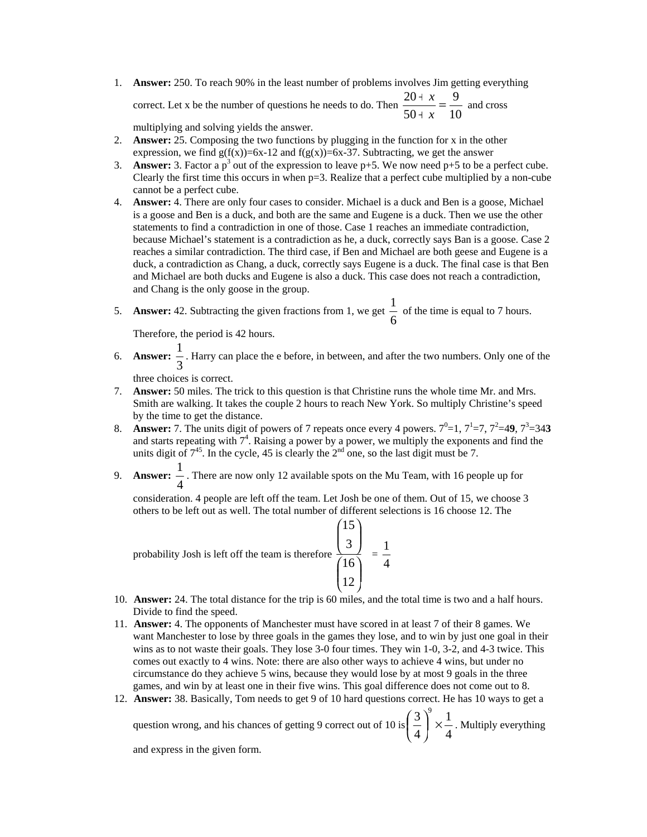1. **Answer:** 250. To reach 90% in the least number of problems involves Jim getting everything correct. Let x be the number of questions he needs to do. Then  $\frac{26+16}{50+x} = \frac{1}{10}$ 9  $\frac{20+x}{50+x} =$ *x*  $\frac{x}{-} = \frac{9}{x}$  and cross

multiplying and solving yields the answer.

- 2. **Answer:** 25. Composing the two functions by plugging in the function for x in the other expression, we find  $g(f(x))=6x-12$  and  $f(g(x))=6x-37$ . Subtracting, we get the answer
- 3. **Answer:** 3. Factor a  $p^3$  out of the expression to leave  $p+5$ . We now need  $p+5$  to be a perfect cube. Clearly the first time this occurs in when p=3. Realize that a perfect cube multiplied by a non-cube cannot be a perfect cube.
- 4. **Answer:** 4. There are only four cases to consider. Michael is a duck and Ben is a goose, Michael is a goose and Ben is a duck, and both are the same and Eugene is a duck. Then we use the other statements to find a contradiction in one of those. Case 1 reaches an immediate contradiction, because Michael's statement is a contradiction as he, a duck, correctly says Ban is a goose. Case 2 reaches a similar contradiction. The third case, if Ben and Michael are both geese and Eugene is a duck, a contradiction as Chang, a duck, correctly says Eugene is a duck. The final case is that Ben and Michael are both ducks and Eugene is also a duck. This case does not reach a contradiction, and Chang is the only goose in the group.

5. **Answer:** 42. Subtracting the given fractions from 1, we get  $\frac{1}{6}$  $\frac{1}{2}$  of the time is equal to 7 hours.

Therefore, the period is 42 hours.

6. **Answer:**  $\frac{1}{3}$  $\frac{1}{x}$ . Harry can place the e before, in between, and after the two numbers. Only one of the

three choices is correct.

- 7. **Answer:** 50 miles. The trick to this question is that Christine runs the whole time Mr. and Mrs. Smith are walking. It takes the couple 2 hours to reach New York. So multiply Christine's speed by the time to get the distance.
- 8. **Answer:** 7. The units digit of powers of 7 repeats once every 4 powers.  $7^0=1$ ,  $7^1=7$ ,  $7^2=49$ ,  $7^3=343$ and starts repeating with  $7<sup>4</sup>$ . Raising a power by a power, we multiply the exponents and find the units digit of  $7^{45}$ . In the cycle, 45 is clearly the  $2^{nd}$  one, so the last digit must be 7.
- 9. **Answer:** 4 1 . There are now only 12 available spots on the Mu Team, with 16 people up for

consideration. 4 people are left off the team. Let Josh be one of them. Out of 15, we choose 3 others to be left out as well. The total number of different selections is 16 choose 12. The

probability Josh is left off the team is therefore ⎟ ⎟ ⎠  $\lambda$  $\parallel$ ⎝  $\mathcal I$ ⎟ ⎟ ⎠  $\lambda$  $\mathsf I$ ⎝ ⎛ 12 16 3 15  $=\frac{1}{4}$ 1

- 10. **Answer:** 24. The total distance for the trip is 60 miles, and the total time is two and a half hours. Divide to find the speed.
- 11. **Answer:** 4. The opponents of Manchester must have scored in at least 7 of their 8 games. We want Manchester to lose by three goals in the games they lose, and to win by just one goal in their wins as to not waste their goals. They lose 3-0 four times. They win 1-0, 3-2, and 4-3 twice. This comes out exactly to 4 wins. Note: there are also other ways to achieve 4 wins, but under no circumstance do they achieve 5 wins, because they would lose by at most 9 goals in the three games, and win by at least one in their five wins. This goal difference does not come out to 8.
- 12. **Answer:** 38. Basically, Tom needs to get 9 of 10 hard questions correct. He has 10 ways to get a

question wrong, and his chances of getting 9 correct out of 10 is  $\left(\frac{2}{4}\right) \times \frac{2}{4}$ 1 4  $3<sup>9</sup>$  $\left(\frac{3}{4}\right)^{3}$  × ⎝  $\left(\frac{3}{2}\right) \times \frac{1}{4}$ . Multiply everything

and express in the given form.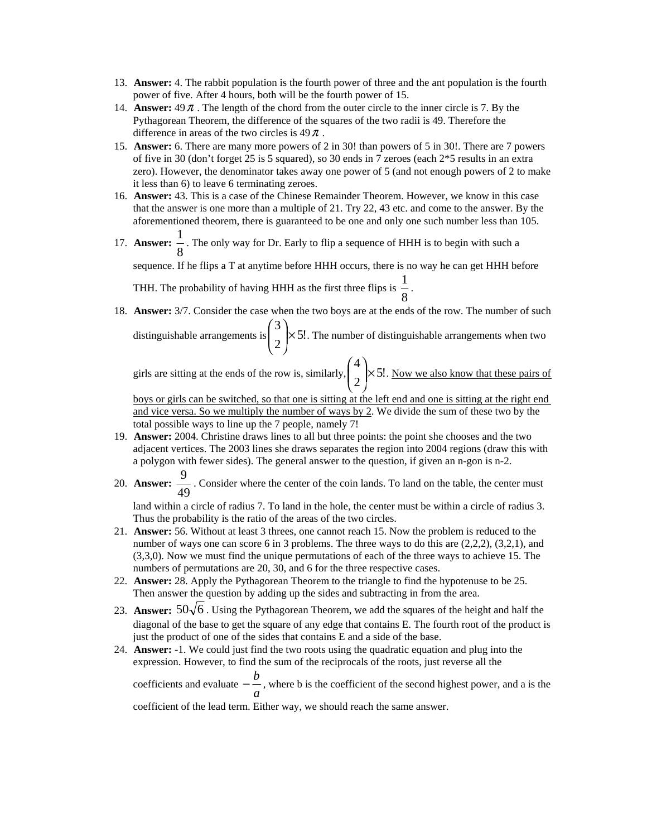- 13. **Answer:** 4. The rabbit population is the fourth power of three and the ant population is the fourth power of five. After 4 hours, both will be the fourth power of 15.
- 14. **Answer:** 49<sup>π</sup> . The length of the chord from the outer circle to the inner circle is 7. By the Pythagorean Theorem, the difference of the squares of the two radii is 49. Therefore the difference in areas of the two circles is  $49 \pi$ .
- 15. **Answer:** 6. There are many more powers of 2 in 30! than powers of 5 in 30!. There are 7 powers of five in 30 (don't forget 25 is 5 squared), so 30 ends in 7 zeroes (each 2\*5 results in an extra zero). However, the denominator takes away one power of 5 (and not enough powers of 2 to make it less than 6) to leave 6 terminating zeroes.
- 16. **Answer:** 43. This is a case of the Chinese Remainder Theorem. However, we know in this case that the answer is one more than a multiple of 21. Try 22, 43 etc. and come to the answer. By the aforementioned theorem, there is guaranteed to be one and only one such number less than 105.
- 17. **Answer:** 8  $\frac{1}{x}$ . The only way for Dr. Early to flip a sequence of HHH is to begin with such a

sequence. If he flips a T at anytime before HHH occurs, there is no way he can get HHH before

THH. The probability of having HHH as the first three flips is  $\frac{1}{8}$  $\frac{1}{2}$ .

⎠

⎝

18. **Answer:** 3/7. Consider the case when the two boys are at the ends of the row. The number of such distinguishable arrangements is  $\left| \begin{array}{c} \sim \\ \sim \end{array} \right| \times 5!$ 2 3  $\mathsf{\times}$  $\lambda$ ⎜ ⎜  $\binom{3}{2}$  × 5!. The number of distinguishable arrangements when two

girls are sitting at the ends of the row is, similarly,  $\left| \times 5! \right|$ 2 4  $\mathsf{\times}$ ⎠  $\lambda$  $\overline{\phantom{a}}$ ⎝  $\binom{4}{1}$  × 5!. Now we also know that these pairs of

boys or girls can be switched, so that one is sitting at the left end and one is sitting at the right end and vice versa. So we multiply the number of ways by 2. We divide the sum of these two by the total possible ways to line up the 7 people, namely 7!

- 19. **Answer:** 2004. Christine draws lines to all but three points: the point she chooses and the two adjacent vertices. The 2003 lines she draws separates the region into 2004 regions (draw this with a polygon with fewer sides). The general answer to the question, if given an n-gon is n-2.
- 20. **Answer:** 49  $\frac{9}{10}$ . Consider where the center of the coin lands. To land on the table, the center must

land within a circle of radius 7. To land in the hole, the center must be within a circle of radius 3. Thus the probability is the ratio of the areas of the two circles.

- 21. **Answer:** 56. Without at least 3 threes, one cannot reach 15. Now the problem is reduced to the number of ways one can score 6 in 3 problems. The three ways to do this are  $(2,2,2)$ ,  $(3,2,1)$ , and (3,3,0). Now we must find the unique permutations of each of the three ways to achieve 15. The numbers of permutations are 20, 30, and 6 for the three respective cases.
- 22. **Answer:** 28. Apply the Pythagorean Theorem to the triangle to find the hypotenuse to be 25. Then answer the question by adding up the sides and subtracting in from the area.
- 23. **Answer:**  $50\sqrt{6}$ . Using the Pythagorean Theorem, we add the squares of the height and half the diagonal of the base to get the square of any edge that contains E. The fourth root of the product is just the product of one of the sides that contains E and a side of the base.
- 24. **Answer:** -1. We could just find the two roots using the quadratic equation and plug into the expression. However, to find the sum of the reciprocals of the roots, just reverse all the coefficients and evaluate  $-\frac{a}{a}$ *b* − −, where b is the coefficient of the second highest power, and a is the

coefficient of the lead term. Either way, we should reach the same answer.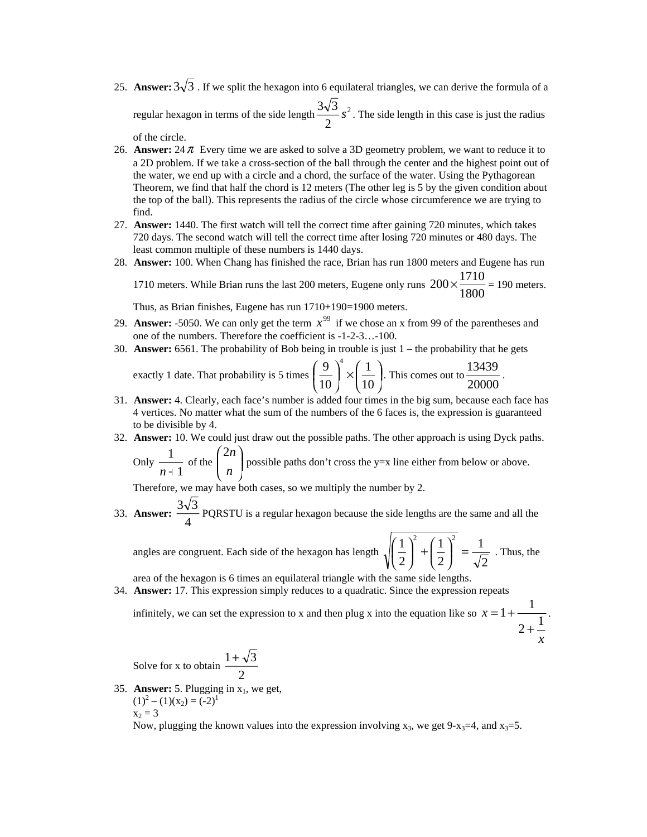25. **Answer:**  $3\sqrt{3}$ . If we split the hexagon into 6 equilateral triangles, we can derive the formula of a regular hexagon in terms of the side length  $\frac{3\sqrt{3}}{2} s^2$ 2  $\frac{3\sqrt{3}}{2}$  s<sup>2</sup>. The side length in this case is just the radius

of the circle.

- 26. **Answer:**  $24 \pi$  Every time we are asked to solve a 3D geometry problem, we want to reduce it to a 2D problem. If we take a cross-section of the ball through the center and the highest point out of the water, we end up with a circle and a chord, the surface of the water. Using the Pythagorean Theorem, we find that half the chord is 12 meters (The other leg is 5 by the given condition about the top of the ball). This represents the radius of the circle whose circumference we are trying to find.
- 27. **Answer:** 1440. The first watch will tell the correct time after gaining 720 minutes, which takes 720 days. The second watch will tell the correct time after losing 720 minutes or 480 days. The least common multiple of these numbers is 1440 days.
- 28. **Answer:** 100. When Chang has finished the race, Brian has run 1800 meters and Eugene has run

1710 meters. While Brian runs the last 200 meters, Eugene only runs  $200 \times \frac{1000}{1800}$  $200 \times \frac{1710}{1000} = 190$  meters.

Thus, as Brian finishes, Eugene has run 1710+190=1900 meters.

- 29. **Answer:** -5050. We can only get the term  $x^{99}$  if we chose an x from 99 of the parentheses and one of the numbers. Therefore the coefficient is -1-2-3…-100.
- 30. **Answer:** 6561. The probability of Bob being in trouble is just 1 the probability that he gets

exactly 1 date. That probability is 5 times 
$$
\left(\frac{9}{10}\right)^4 \times \left(\frac{1}{10}\right)
$$
. This comes out to  $\frac{13439}{20000}$ .

- 31. **Answer:** 4. Clearly, each face's number is added four times in the big sum, because each face has 4 vertices. No matter what the sum of the numbers of the 6 faces is, the expression is guaranteed to be divisible by 4.
- 32. **Answer:** 10. We could just draw out the possible paths. The other approach is using Dyck paths.

Only 
$$
\frac{1}{n+1}
$$
 of the  $\binom{2n}{n}$  possible paths don't cross the y=x line either from below or above.

Therefore, we may have both cases, so we multiply the number by 2.

33. **Answer:**  $\frac{64}{4}$  $\frac{3\sqrt{3}}{2}$  PQRSTU is a regular hexagon because the side lengths are the same and all the

angles are congruent. Each side of the hexagon has length 2 1 2 1 2  $1$ <sup>2</sup>  $(1)^2$  $\left(\frac{1}{2}\right)^2 =$  $\left(\frac{1}{2}\right)^{2} + \left(\frac{1}{2}\right)^{2}$ ⎝  $\left(\frac{1}{2}\right)^2 + \left(\frac{1}{2}\right)^2 = \frac{1}{\sqrt{2}}$ . Thus, the

area of the hexagon is 6 times an equilateral triangle with the same side lengths.

34. **Answer:** 17. This expression simply reduces to a quadratic. Since the expression repeats

infinitely, we can set the expression to x and then plug x into the equation like so  $x = 1 + \frac{1}{2 + \frac{1}{2}}$  $= 1 + \frac{1}{1}$ .

$$
+\frac{1}{x}
$$

Solve for x to obtain 
$$
\frac{1+\sqrt{3}}{2}
$$

35. **Answer:** 5. Plugging in  $x_1$ , we get,  $(1)^{2} - (1)(x_{2}) = (-2)^{1}$  $x_2 = 3$ 

Now, plugging the known values into the expression involving  $x_3$ , we get 9- $x_3=4$ , and  $x_3=5$ .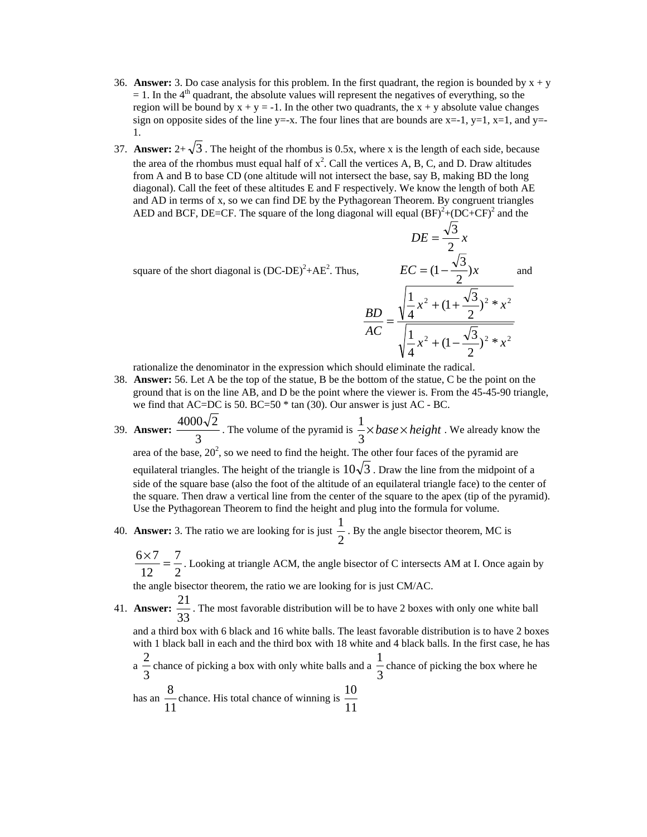- 36. **Answer:** 3. Do case analysis for this problem. In the first quadrant, the region is bounded by  $x + y$  $= 1$ . In the 4<sup>th</sup> quadrant, the absolute values will represent the negatives of everything, so the region will be bound by  $x + y = -1$ . In the other two quadrants, the  $x + y$  absolute value changes sign on opposite sides of the line y=-x. The four lines that are bounds are  $x=-1$ ,  $y=1$ ,  $x=1$ , and  $y=$ -1.
- 37. **Answer:**  $2+\sqrt{3}$ . The height of the rhombus is 0.5x, where x is the length of each side, because the area of the rhombus must equal half of  $x^2$ . Call the vertices A, B, C, and D. Draw altitudes from A and B to base CD (one altitude will not intersect the base, say B, making BD the long diagonal). Call the feet of these altitudes E and F respectively. We know the length of both AE and AD in terms of x, so we can find DE by the Pythagorean Theorem. By congruent triangles AED and BCF, DE=CF. The square of the long diagonal will equal  $(BF)^2 + (DC+CF)^2$  and the

square of the short diagonal is  $(DC-DE)^2+AE^2$ . Thus,

$$
DE = \frac{\sqrt{3}}{2}x
$$
  
\n
$$
EC = (1 - \frac{\sqrt{3}}{2})x
$$
 and  
\n
$$
\frac{BD}{AC} = \frac{\sqrt{\frac{1}{4}x^2 + (1 + \frac{\sqrt{3}}{2})^2 * x^2}}{\sqrt{\frac{1}{4}x^2 + (1 - \frac{\sqrt{3}}{2})^2 * x^2}}
$$

rationalize the denominator in the expression which should eliminate the radical.

- 38. **Answer:** 56. Let A be the top of the statue, B be the bottom of the statue, C be the point on the ground that is on the line AB, and D be the point where the viewer is. From the 45-45-90 triangle, we find that AC=DC is 50. BC=50 \* tan (30). Our answer is just AC - BC.
- 39. **Answer:**  $\frac{1388}{3}$  $\frac{4000\sqrt{2}}{3}$ . The volume of the pyramid is  $\frac{1}{3} \times base \times height$ . We already know the area of the base,  $20^2$ , so we need to find the height. The other four faces of the pyramid are equilateral triangles. The height of the triangle is  $10\sqrt{3}$ . Draw the line from the midpoint of a side of the square base (also the foot of the altitude of an equilateral triangle face) to the center of the square. Then draw a vertical line from the center of the square to the apex (tip of the pyramid). Use the Pythagorean Theorem to find the height and plug into the formula for volume.
- 40. **Answer:** 3. The ratio we are looking for is just  $\frac{1}{2}$ 1. By the angle bisector theorem, MC is

2 7 12  $\frac{6 \times 7}{10^{-12}} = \frac{7}{3}$ . Looking at triangle ACM, the angle bisector of C intersects AM at I. Once again by

the angle bisector theorem, the ratio we are looking for is just CM/AC.

41. **Answer:** 33  $\frac{21}{2}$ . The most favorable distribution will be to have 2 boxes with only one white ball

and a third box with 6 black and 16 white balls. The least favorable distribution is to have 2 boxes with 1 black ball in each and the third box with 18 white and 4 black balls. In the first case, he has

a 
$$
\frac{2}{3}
$$
 chance of picking a box with only white balls and a  $\frac{1}{3}$  chance of picking the box where he has an  $\frac{8}{11}$  chance. His total chance of winning is  $\frac{10}{11}$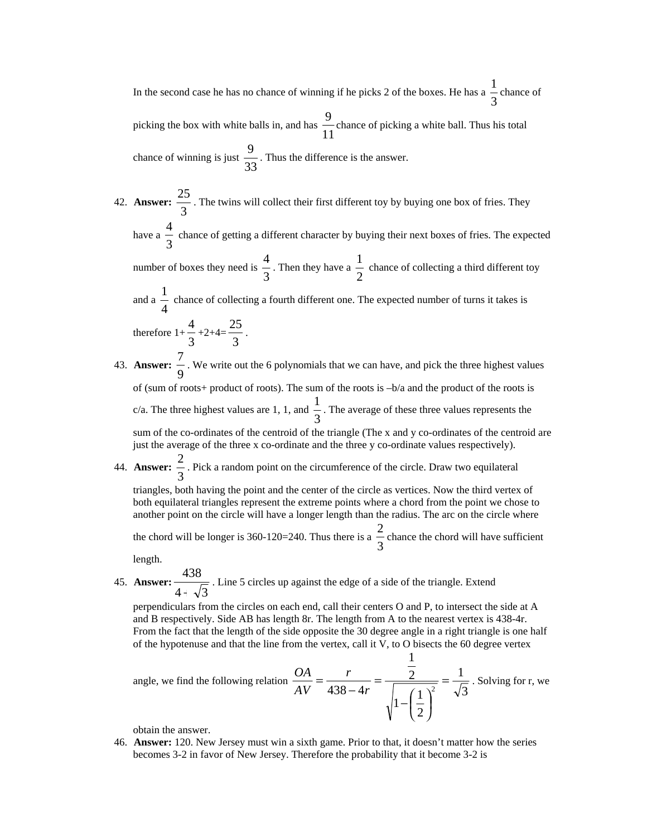In the second case he has no chance of winning if he picks 2 of the boxes. He has a  $\frac{1}{3}$  $\frac{1}{2}$  chance of picking the box with white balls in, and has  $\frac{1}{11}$ 9 chance of picking a white ball. Thus his total chance of winning is just  $\frac{1}{33}$ 9 . Thus the difference is the answer.

42. **Answer:**  $\frac{12}{3}$  $\frac{25}{25}$ . The twins will collect their first different toy by buying one box of fries. They have a  $\frac{1}{3}$ 4 chance of getting a different character by buying their next boxes of fries. The expected

number of boxes they need is  $\frac{1}{3}$ 4 . Then they have a  $\frac{1}{2}$  $\frac{1}{x}$  chance of collecting a third different toy

and a  $\frac{1}{4}$ 1 chance of collecting a fourth different one. The expected number of turns it takes is  $\frac{4}{3}+2+4=\frac{25}{3}$  $\frac{25}{1}$ .

therefore  $1+\frac{1}{3}$ 43. **Answer:** 9  $\frac{7}{1}$ . We write out the 6 polynomials that we can have, and pick the three highest values of (sum of roots+ product of roots). The sum of the roots is  $-b/a$  and the product of the roots is c/a. The three highest values are 1, 1, and  $\frac{1}{3}$  $\frac{1}{1}$ . The average of these three values represents the

sum of the co-ordinates of the centroid of the triangle (The x and y co-ordinates of the centroid are just the average of the three x co-ordinate and the three y co-ordinate values respectively).

44. **Answer:** 3  $\frac{2}{x}$ . Pick a random point on the circumference of the circle. Draw two equilateral

triangles, both having the point and the center of the circle as vertices. Now the third vertex of both equilateral triangles represent the extreme points where a chord from the point we chose to another point on the circle will have a longer length than the radius. The arc on the circle where

the chord will be longer is 360-120=240. Thus there is a  $\frac{2}{3}$  $\frac{2}{x}$  chance the chord will have sufficient

length.

45. **Answer:**  $4 + \sqrt{3}$ 438 + . Line 5 circles up against the edge of a side of the triangle. Extend

perpendiculars from the circles on each end, call their centers O and P, to intersect the side at A and B respectively. Side AB has length 8r. The length from A to the nearest vertex is 438-4r. From the fact that the length of the side opposite the 30 degree angle in a right triangle is one half of the hypotenuse and that the line from the vertex, call it V, to O bisects the 60 degree vertex

angle, we find the following relation 
$$
\frac{OA}{AV} = \frac{r}{438 - 4r} = \frac{\frac{1}{2}}{\sqrt{1 - (\frac{1}{2})^2}} = \frac{1}{\sqrt{3}}
$$
. Solving for r, we

obtain the answer.

46. **Answer:** 120. New Jersey must win a sixth game. Prior to that, it doesn't matter how the series becomes 3-2 in favor of New Jersey. Therefore the probability that it become 3-2 is